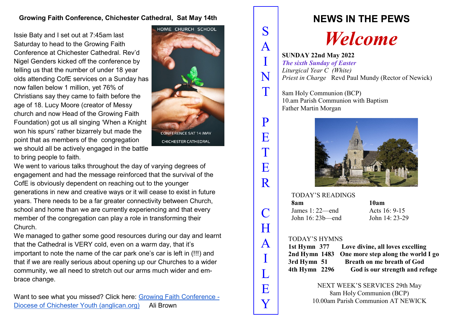# **Growing Faith Conference, Chichester Cathedral, Sat May 14th**

Issie Baty and I set out at 7:45am last Saturday to head to the Growing Faith Conference at Chichester Cathedral. Rev'd Nigel Genders kicked off the conference by telling us that the number of under 18 year olds attending CofE services on a Sunday has now fallen below 1 million, yet 76% of Christians say they came to faith before the age of 18. Lucy Moore (creator of Messy church and now Head of the Growing Faith Foundation) got us all singing 'When a Knight won his spurs' rather bizarrely but made the point that as members of the congregation we should all be actively engaged in the battle to bring people to faith.



We went to various talks throughout the day of varying degrees of engagement and had the message reinforced that the survival of the CofE is obviously dependent on reaching out to the younger generations in new and creative ways or it will cease to exist in future years. There needs to be a far greater connectivity between Church, school and home than we are currently experiencing and that every member of the congregation can play a role in transforming their Church.

We managed to gather some good resources during our day and learnt that the Cathedral is VERY cold, even on a warm day, that it's important to note the name of the car park one's car is left in (!!!) and that if we are really serious about opening up our Churches to a wider community, we all need to stretch out our arms much wider and embrace change.

Want to see what you missed? Click here: [Growing Faith Conference -](https://youth.chichester.anglican.org/growing--faith-conference/) [Diocese of Chichester Youth \(anglican.org\)](https://youth.chichester.anglican.org/growing--faith-conference/) Ali Brown

# **NEWS IN THE PEWS**

# *Welcome*

**SUNDAY 22nd May 2022**  *The sixth Sunday of Easter Liturgical Year C (White) Priest in Charge Revd Paul Mundy (Rector of Newick)* 

8am Holy Communion (BCP) 10.am Parish Communion with Baptism Father Martin Morgan

S

A

I

N

T

P

E

T

E

R

C

H

A

I

L

E

Y



### TODAY'S READINGS

**8am 10am**  James 1: 22—end Acts 16: 9-15 John 16: 23b—end John 14: 23-29

## TODAY'S HYMNS

**1st Hymn 377 Love divine, all loves excelling 2nd Hymn 1483 One more step along the world I go 3rd Hymn 51 Breath on me breath of God 4th Hymn 2296 God is our strength and refuge** 

> NEXT WEEK'S SERVICES 29th May 8am Holy Communion (BCP) 10.00am Parish Communion AT NEWICK